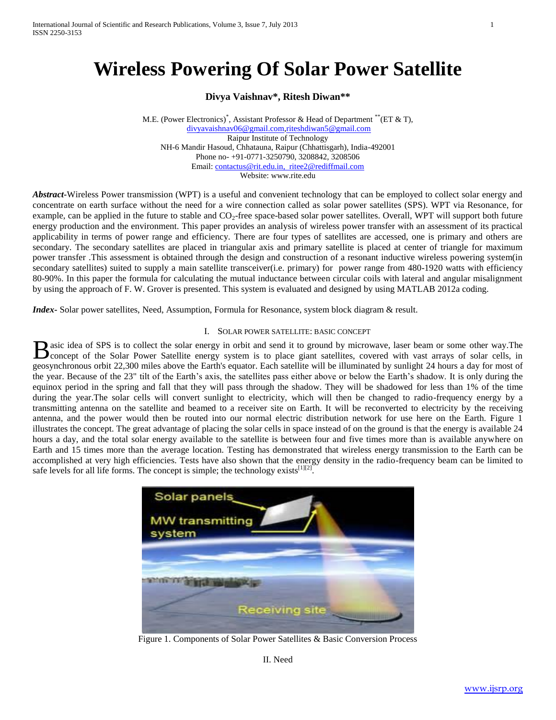# **Wireless Powering Of Solar Power Satellite**

**Divya Vaishnav\*, Ritesh Diwan\*\***

M.E. (Power Electronics)\* , Assistant Professor & Head of Department \*\*(ET & T), [divyavaishnav06@gmail.com,](mailto:divyavaishnav06@gmail.com)[riteshdiwan5@gmail.com](mailto:riteshdiwan5@gmail.com) Raipur Institute of Technology NH-6 Mandir Hasoud, Chhatauna, Raipur (Chhattisgarh), India-492001 Phone no- +91-0771-3250790, 3208842, 3208506 Email: [contactus@rit.edu.in, ritee2@rediffmail.com](mailto:contactus@rit.edu.in,%20%20ritee2@rediffmail.com) Website: www.rite.edu

*Abstract***-**Wireless Power transmission (WPT) is a useful and convenient technology that can be employed to collect solar energy and concentrate on earth surface without the need for a wire connection called as solar power satellites (SPS). WPT via Resonance, for example, can be applied in the future to stable and  $CO<sub>2</sub>$ -free space-based solar power satellites. Overall, WPT will support both future energy production and the environment. This paper provides an analysis of wireless power transfer with an assessment of its practical applicability in terms of power range and efficiency. There are four types of satellites are accessed, one is primary and others are secondary. The secondary satellites are placed in triangular axis and primary satellite is placed at center of triangle for maximum power transfer .This assessment is obtained through the design and construction of a resonant inductive wireless powering system(in secondary satellites) suited to supply a main satellite transceiver(i.e. primary) for power range from 480-1920 watts with efficiency 80-90%. In this paper the formula for calculating the mutual inductance between circular coils with lateral and angular misalignment by using the approach of F. W. Grover is presented. This system is evaluated and designed by using MATLAB 2012a coding.

*Index***-** Solar power satellites, Need, Assumption, Formula for Resonance, system block diagram & result.

## I. SOLAR POWER SATELLITE: BASIC CONCEPT

asic idea of SPS is to collect the solar energy in orbit and send it to ground by microwave, laser beam or some other way.The B asic idea of SPS is to collect the solar energy in orbit and send it to ground by microwave, laser beam or some other way. The concept of the Solar Power Satellite energy system is to place giant satellites, covered with geosynchronous orbit 22,300 miles above the Earth's equator. Each satellite will be illuminated by sunlight 24 hours a day for most of the year. Because of the 23" tilt of the Earth's axis, the satellites pass either above or below the Earth's shadow. It is only during the equinox period in the spring and fall that they will pass through the shadow. They will be shadowed for less than 1% of the time during the year.The solar cells will convert sunlight to electricity, which will then be changed to radio-frequency energy by a transmitting antenna on the satellite and beamed to a receiver site on Earth. It will be reconverted to electricity by the receiving antenna, and the power would then be routed into our normal electric distribution network for use here on the Earth. Figure 1 illustrates the concept. The great advantage of placing the solar cells in space instead of on the ground is that the energy is available 24 hours a day, and the total solar energy available to the satellite is between four and five times more than is available anywhere on Earth and 15 times more than the average location. Testing has demonstrated that wireless energy transmission to the Earth can be accomplished at very high efficiencies. Tests have also shown that the energy density in the radio-frequency beam can be limited to safe levels for all life forms. The concept is simple; the technology exists  $[1][2]$ .



Figure 1. Components of Solar Power Satellites & Basic Conversion Process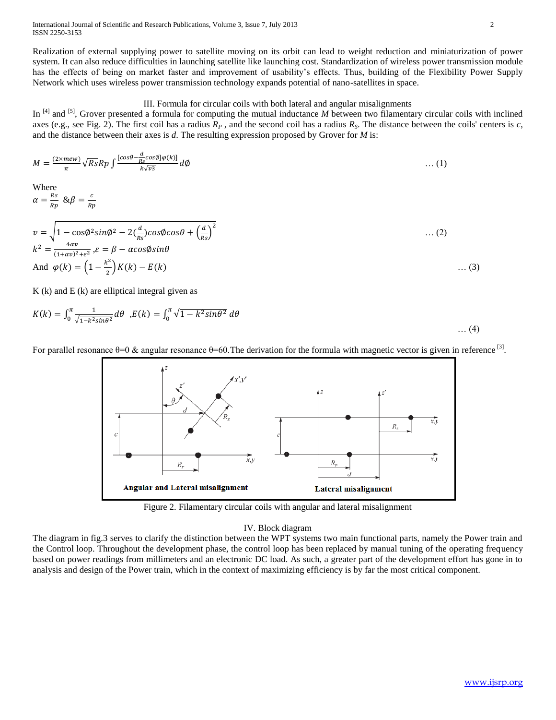International Journal of Scientific and Research Publications, Volume 3, Issue 7, July 2013 2 ISSN 2250-3153

Realization of external supplying power to satellite moving on its orbit can lead to weight reduction and miniaturization of power system. It can also reduce difficulties in launching satellite like launching cost. Standardization of wireless power transmission module has the effects of being on market faster and improvement of usability's effects. Thus, building of the Flexibility Power Supply Network which uses wireless power transmission technology expands potential of nano-satellites in space.

# III. Formula for circular coils with both lateral and angular misalignments

In <sup>[4]</sup> and <sup>[5]</sup>, Grover presented a formula for computing the mutual inductance *M* between two filamentary circular coils with inclined axes (e.g., see Fig. 2). The first coil has a radius  $R_p$ , and the second coil has a radius  $R_s$ . The distance between the coils' centers is *c*, and the distance between their axes is *d*. The resulting expression proposed by Grover for *M* is:

$$
M = \frac{(2 \times mew)}{\pi} \sqrt{Rs} Rp \int \frac{[cos\theta - \frac{d}{Rs} cos\phi] \varphi(k)]}{k\sqrt{v_3}} d\phi \qquad \qquad \dots (1)
$$

Where

 $\alpha = \frac{R}{R}$  $\frac{Rs}{Rp}$  &  $\beta = \frac{c}{Rp}$ R

$$
v = \sqrt{1 - \cos\phi^2 \sin\phi^2 - 2\left(\frac{d}{Rs}\right)\cos\phi \cos\theta + \left(\frac{d}{Rs}\right)^2}
$$
 ... (2)  
\n
$$
k^2 = \frac{4\alpha v}{(1 + \alpha v)^2 + \epsilon^2}, \varepsilon = \beta - \alpha \cos\phi \sin\theta
$$
  
\nAnd  $\varphi(k) = \left(1 - \frac{k^2}{2}\right)K(k) - E(k)$  ... (3)

 $K(k)$  and  $E(k)$  are elliptical integral given as

$$
K(k) = \int_0^{\pi} \frac{1}{\sqrt{1 - k^2 \sin \theta^2}} d\theta, E(k) = \int_0^{\pi} \sqrt{1 - k^2 \sin \theta^2} d\theta \dots (4)
$$



For parallel resonance  $\theta$ =0 & angular resonance  $\theta$ =60. The derivation for the formula with magnetic vector is given in reference <sup>[3]</sup>.

Figure 2. Filamentary circular coils with angular and lateral misalignment

#### IV. Block diagram

The diagram in fig.3 serves to clarify the distinction between the WPT systems two main functional parts, namely the Power train and the Control loop. Throughout the development phase, the control loop has been replaced by manual tuning of the operating frequency based on power readings from millimeters and an electronic DC load. As such, a greater part of the development effort has gone in to analysis and design of the Power train, which in the context of maximizing efficiency is by far the most critical component.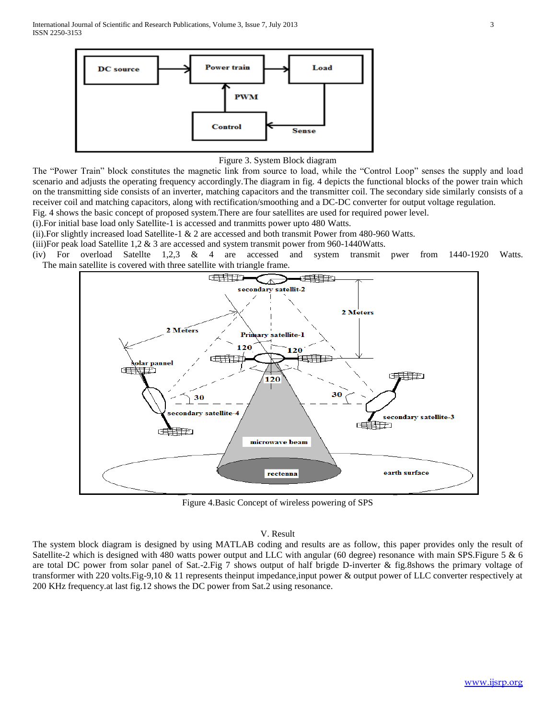

Figure 3. System Block diagram

The "Power Train" block constitutes the magnetic link from source to load, while the "Control Loop" senses the supply and load scenario and adjusts the operating frequency accordingly.The diagram in fig. 4 depicts the functional blocks of the power train which on the transmitting side consists of an inverter, matching capacitors and the transmitter coil. The secondary side similarly consists of a receiver coil and matching capacitors, along with rectification/smoothing and a DC-DC converter for output voltage regulation.

Fig. 4 shows the basic concept of proposed system.There are four satellites are used for required power level.

(i).For initial base load only Satellite-1 is accessed and tranmitts power upto 480 Watts.

(ii).For slightly increased load Satellite-1 & 2 are accessed and both transmit Power from 480-960 Watts.

(iii)For peak load Satellite 1,2  $\&$  3 are accessed and system transmit power from 960-1440Watts.

(iv) For overload Satellte 1,2,3 & 4 are accessed and system transmit pwer from 1440-1920 Watts. The main satellite is covered with three satellite with triangle frame.



Figure 4.Basic Concept of wireless powering of SPS

#### V. Result

The system block diagram is designed by using MATLAB coding and results are as follow, this paper provides only the result of Satellite-2 which is designed with 480 watts power output and LLC with angular (60 degree) resonance with main SPS.Figure 5 & 6 are total DC power from solar panel of Sat.-2.Fig 7 shows output of half brigde D-inverter & fig.8shows the primary voltage of transformer with 220 volts.Fig-9,10 & 11 represents theinput impedance,input power & output power of LLC converter respectively at 200 KHz frequency.at last fig.12 shows the DC power from Sat.2 using resonance.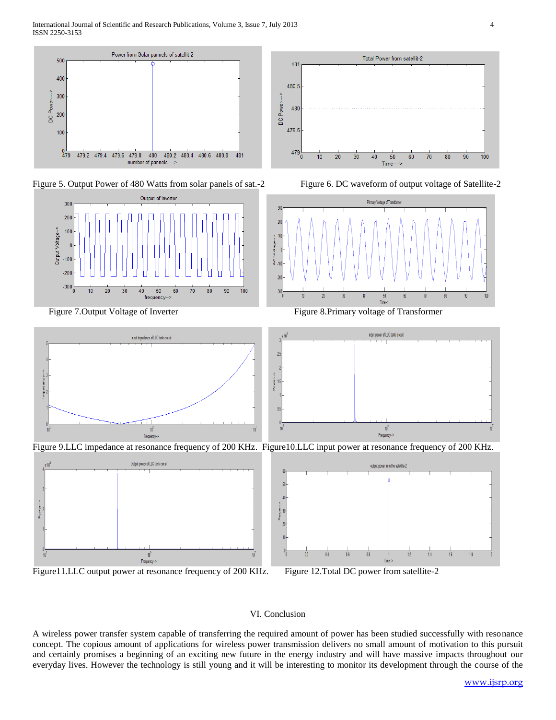

Figure 5. Output Power of 480 Watts from solar panels of sat.-2 Figure 6. DC waveform of output voltage of Satellite-2







Figure 7. Output Voltage of Inverter Figure 8.Primary voltage of Transformer



Figure 9.LLC impedance at resonance frequency of 200 KHz. Figure10.LLC input power at resonance frequency of 200 KHz.



Figure11.LLC output power at resonance frequency of 200 KHz. Figure 12.Total DC power from satellite-2



## VI. Conclusion

 $\overline{0}$ 

A wireless power transfer system capable of transferring the required amount of power has been studied successfully with resonance concept. The copious amount of applications for wireless power transmission delivers no small amount of motivation to this pursuit and certainly promises a beginning of an exciting new future in the energy industry and will have massive impacts throughout our everyday lives. However the technology is still young and it will be interesting to monitor its development through the course of the